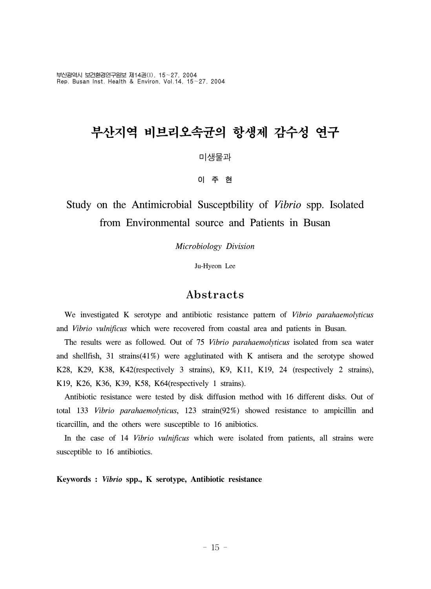부산광역시 보건환경연구원보 제14권(I), 15~27, 2004 Rep. Busan Inst. Health & Environ, Vol.14, 15~27, 2004

# 부산지역 비브리오속균의 항생제 감수성 연구

미생물과

이 주 현

## Study on the Antimicrobial Susceptbility of *Vibrio* spp. Isolated from Environmental source and Patients in Busan

*Microbiology Division*

Ju-Hyeon Lee

### Abstracts

 We investigated K serotype and antibiotic resistance pattern of *Vibrio parahaemolyticus* and *Vibrio vulnificus* which were recovered from coastal area and patients in Busan.

 The results were as followed. Out of 75 *Vibrio parahaemolyticus* isolated from sea water and shellfish, 31 strains(41%) were agglutinated with K antisera and the serotype showed K28, K29, K38, K42(respectively 3 strains), K9, K11, K19, 24 (respectively 2 strains), K19, K26, K36, K39, K58, K64(respectively 1 strains).

 Antibiotic resistance were tested by disk diffusion method with 16 different disks. Out of total 133 *Vibrio parahaemolyticus*, 123 strain(92%) showed resistance to ampicillin and ticarcillin, and the others were susceptible to 16 anibiotics.

 In the case of 14 *Vibrio vulnificus* which were isolated from patients, all strains were susceptible to 16 antibiotics.

**Keywords :** *Vibrio* **spp., K serotype, Antibiotic resistance**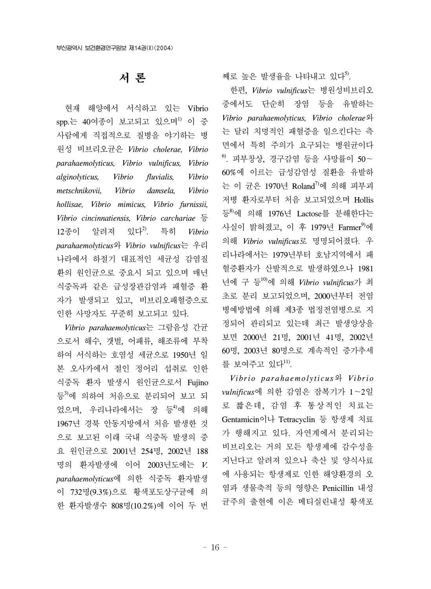## 서 론

 현재 해양에서 서식하고 있는 Vibrio spp.는 40여종이 보고되고 있으며<sup>1)</sup> 이 중 사람에게 직접적으로 질병을 야기하는 병 원성 비브리오균은 *Vibrio cholerae, Vibrio parahaemolyticus, Vibrio vulnificus, Vibrio alginolyticus, Vibrio fluvialis, Vibrio metschnikovii, Vibrio damsela, Vibrio hollisae, Vibrio mimicus, Vibrio furnissii, Vibrio cincinnatiensis, Vibrio carchariae* 등 12종이 알려져 있다2). 특히 *Vibrio parahaemolyticus*와 *Vibrio vulnificus*는 우리 나라에서 하절기 대표적인 세균성 감염질 환의 원인균으로 중요시 되고 있으며 매년 식중독과 같은 급성장관감염과 패혈증 환 자가 발생되고 있고, 비브리오패혈증으로 인한 사망자도 꾸준히 보고되고 있다.

 *Vibrio parahaemolyticus*는 그람음성 간균 으로서 해수, 갯벌, 어패류, 해조류에 부착 하여 서식하는 호염성 세균으로 1950년 일 본 오사카에서 절인 정어리 섭취로 인한 식중독 환자 발생시 원인균으로서 Fujino 등3)에 의하여 처음으로 분리되어 보고 되 었으며, 우리나라에서는 장 등<sup>4)</sup>에 의해 1967년 경북 안동지방에서 처음 발생한 것 으로 보고된 이래 국내 식중독 발생의 중 요 원인균으로 2001년 254명, 2002년 188 명의 환자발생에 이어 2003년도에는 *V. parahaemolyticus*에 의한 식중독 환자발생 이 732명(9.3%)으로 황색포도상구균에 의 한 환자발생수 808명(10.2%)에 이어 두 번

째로 높은 발생율을 나타내고 있다<sup>5</sup>.

 한편, *Vibrio vulnificus*는 병원성비브리오 중에서도 단순히 장염 등을 유발하는 *Vibrio parahaemolyticus, Vibrio cholerae*와 는 달리 치명적인 패혈증을 일으킨다는 측 면에서 특히 주의가 요구되는 병원균이다 6). 피부창상, 경구감염 등을 사망률이 50~ 60%에 이르는 급성감염성 질환을 유발하 는 이 균은 1970년 Roland<sup>7)</sup>에 의해 피부괴 저병 환자로부터 처음 보고되었으며 Hollis 등<sup>8)</sup>에 의해 1976년 Lactose를 분해한다는 사실이 밝혀졌고, 이 후 1979년 Farmer<sup>9)</sup>에 의해 *Vibrio vulnificus*로 명명되어졌다. 우 리나라에서는 1979년부터 호남지역에서 패 혈증환자가 산발적으로 발생하였으나 1981 년에 구 등10)에 의해 *Vibrio vulnificus*가 최 초로 분리 보고되었으며, 2000년부터 전염 병예방법에 의해 제3종 법정전염병으로 지 정되어 관리되고 있는데 최근 발생양상을 보면 2000년 21명, 2001년 41명, 2002년 60명, 2003년 80명으로 계속적인 증가추세 를 보여주고 있다 $^{11}$ .

 *Vibrio parahaemolyticus*와 *Vibrio vulnificus*에 의한 감염은 잠복기가 1~2일 로 짧은데, 감염 후 통상적인 치료는 Gentamicin이나 Tetracyclin 등 항생제 치료 가 행해지고 있다. 자연계에서 분리되는 비브리오는 거의 모든 항생제에 감수성을 지닌다고 알려져 있으나 축산 및 양식사료 에 사용되는 항생제로 인한 해양환경의 오 염과 생물축적 등의 영향은 Penicillin 내성 균주의 출현에 이은 메티실린내성 황색포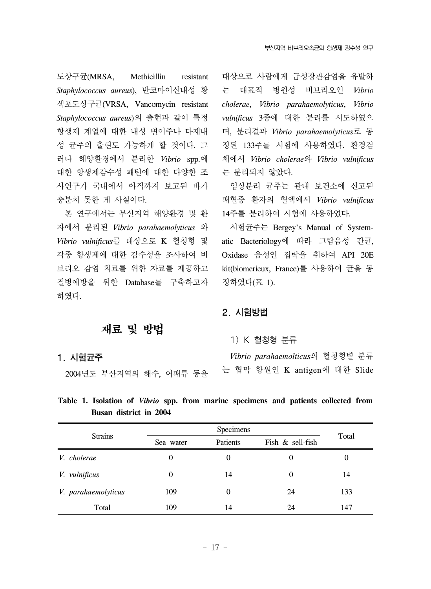도상구균(MRSA, Methicillin resistant *Staphylococcus aureus*), 반코마이신내성 황 색포도상구균(VRSA, Vancomycin resistant *Staphylococcus aureus*)의 출현과 같이 특정 항생제 계열에 대한 내성 변이주나 다제내 성 균주의 출현도 가능하게 할 것이다. 그 러나 해양환경에서 분리한 *Vibrio* spp.에 대한 항생제감수성 패턴에 대한 다양한 조 사연구가 국내에서 아직까지 보고된 바가 충분치 못한 게 사실이다.

 본 연구에서는 부산지역 해양환경 및 환 자에서 분리된 *Vibrio parahaemolyticus* 와 *Vibrio vulnificus*를 대상으로 K 혈청형 및 각종 항생제에 대한 감수성을 조사하여 비 브리오 감염 치료를 위한 자료를 제공하고 질병예방을 위한 Database를 구축하고자 하였다.

대상으로 사람에게 급성장관감염을 유발하 는 대표적 병원성 비브리오인 *Vibrio cholerae*, *Vibrio parahaemolyticus*, *Vibrio vulnificus* 3종에 대한 분리를 시도하였으 며, 분리결과 *Vibrio parahaemolyticus*로 동 정된 133주를 시험에 사용하였다. 환경검 체에서 *Vibrio cholerae*와 *Vibrio vulnificus* 는 분리되지 않았다.

 임상분리 균주는 관내 보건소에 신고된 패혈증 환자의 혈액에서 *Vibrio vulnificus* 14주를 분리하여 시험에 사용하였다.

 시험균주는 Bergey's Manual of Systematic Bacteriology에 따라 그람음성 간균, Oxidase 음성인 집락을 취하여 API 20E kit(biomerieux, France)를 사용하여 균을 동 정하였다(표 1).

### 2. 시험방법

## 재료 및 방법

#### 1) K 혈청형 분류

1. 시험균주

2004년도 부산지역의 해수, 어패류 등을

 *Vibrio parahaemolticus*의 혈청형별 분류 는 협막 항원인 K antigen에 대한 Slide

**Table 1. Isolation of** *Vibrio* **spp. from marine specimens and patients collected from Busan district in 2004**

|                     |           |                  | Total            |     |  |
|---------------------|-----------|------------------|------------------|-----|--|
| <b>Strains</b>      | Sea water | Patients         | Fish & sell-fish |     |  |
| V. cholerae         | 0         | $\boldsymbol{0}$ | $\theta$         | 0   |  |
| V. vulnificus       | $\theta$  | 14               | $\theta$         | 14  |  |
| V. parahaemolyticus | 109       | $\theta$         | 24               | 133 |  |
| Total               | 109       | 14               | 24               | 147 |  |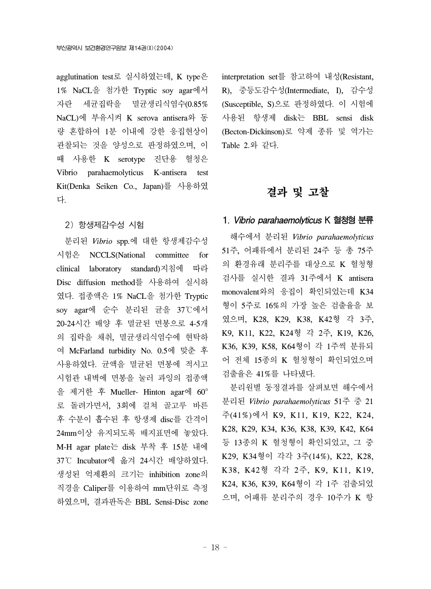agglutination test로 실시하였는데, K type은 1% NaCL을 첨가한 Tryptic soy agar에서 자란 세균집락을 멸균생리식염수(0.85% NaCL)에 부유시켜 K serova antisera와 동 량 혼합하여 1분 이내에 강한 응집현상이 관찰되는 것을 양성으로 판정하였으며, 이 때 사용한 K serotype 진단용 혈청은 Vibrio parahaemolyticus K-antisera test Kit(Denka Seiken Co., Japan)를 사용하였 다.

#### 2) 항생제감수성 시험

 분리된 *Vibrio* spp.에 대한 항생제감수성 시험은 NCCLS(National committee for clinical laboratory standard)지침에 따라 Disc diffusion method를 사용하여 실시하 였다. 접종액은 1% NaCL을 첨가한 Tryptic soy agar에 순수 분리된 균을 37℃에서 20-24시간 배양 후 멸균된 면봉으로 4-5개 의 집락을 채취, 멸균생리식염수에 현탁하 여 McFarland turbidity No. 0.5에 맞춘 후 사용하였다. 균액을 멸균된 면봉에 적시고 시험관 내벽에 면봉을 눌러 과잉의 접종액 을 제거한 후 Mueller- Hinton agar에 60° 로 돌려가면서, 3회에 걸쳐 골고루 바른 후 수분이 흡수된 후 항생제 disc를 간격이 24mm이상 유지되도록 배지표면에 놓았다. M-H agar plate는 disk 부착 후 15분 내에 37℃ Incubator에 옮겨 24시간 배양하였다. 생성된 억제환의 크기는 inhibition zone의 직경을 Caliper를 이용하여 mm단위로 측정 하였으며, 결과판독은 BBL Sensi-Disc zone interpretation set를 참고하여 내성(Resistant, R), 중등도감수성(Intermediate, I), 감수성 (Susceptible, S)으로 판정하였다. 이 시험에 사용된 항생제 disk는 BBL sensi disk (Becton-Dickinson)로 약제 종류 및 역가는 Table 2.와 같다.

### 결과 및 고찰

#### 1. Vibrio parahaemolyticus K 혈청형 분류

 해수에서 분리된 *Vibrio parahaemolyticus* 51주, 어패류에서 분리된 24주 등 총 75주 의 환경유래 분리주를 대상으로 K 혈청형 검사를 실시한 결과 31주에서 K antisera monovalent와의 응집이 확인되었는데 K34 형이 5주로 16%의 가장 높은 검출율을 보 였으며, K28, K29, K38, K42형 각 3주, K9, K11, K22, K24형 각 2주, K19, K26, K36, K39, K58, K64형이 각 1주씩 분류되 어 전체 15종의 K 혈청형이 확인되었으며 검출율은 41%를 나타냈다.

 분리원별 동정결과를 살펴보면 해수에서 분리된 *Vibrio parahaemolyticus* 51주 중 21 주(41%)에서 K9, K11, K19, K22, K24, K28, K29, K34, K36, K38, K39, K42, K64 등 13종의 K 혈청형이 확인되었고, 그 중 K29, K34형이 각각 3주(14%), K22, K28, K38, K42형 각각 2주, K9, K11, K19, K24, K36, K39, K64형이 각 1주 검출되었 으며, 어패류 분리주의 경우 10주가 K 항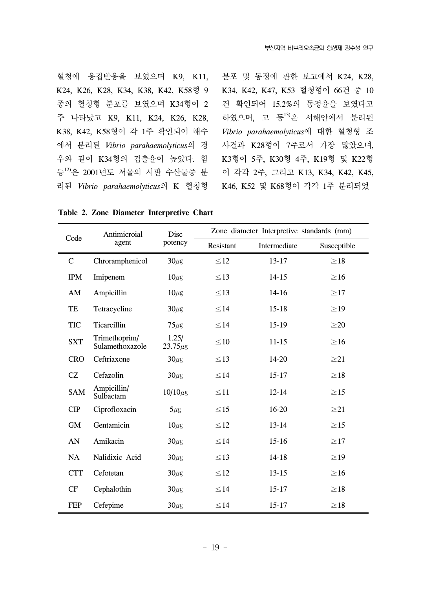혈청에 응집반응을 보였으며 K9, K11, K24, K26, K28, K34, K38, K42, K58형 9 종의 혈청형 분포를 보였으며 K34형이 2 주 나타났고 K9, K11, K24, K26, K28, K38, K42, K58형이 각 1주 확인되어 해수 에서 분리된 *Vibrio parahaemolyticus*의 경 우와 같이 K34형의 검출율이 높았다. 함 등<sup>12)</sup>은 2001년도 서울의 시판 수산물중 분 리된 *Vibrio parahaemolyticus*의 K 혈청형

분포 및 동정에 관한 보고에서 K24, K28, K34, K42, K47, K53 혈청형이 66건 중 10 건 확인되어 15.2%의 동정율을 보였다고 하였으며, 고 등13)은 서해안에서 분리된 *Vibrio parahaemolyticus*에 대한 혈청형 조 사결과 K28형이 7주로서 가장 많았으며, K3형이 5주, K30형 4주, K19형 및 K22형 이 각각 2주, 그리고 K13, K34, K42, K45, K46, K52 및 K68형이 각각 1주 분리되었

Code Antimicroial agent Disc potency Zone diameter Interpretive standards (mm) Resistant Intermediate Susceptible C Chroramphenicol  $30\mu$ g  $\leq 12$  13-17  $\geq 18$ IPM Imipenem  $10\mu\text{g} \leq 13$  14-15  $\geq 16$ AM Ampicillin  $10\mu$ g  $\leq 13$  14-16  $\geq 17$ TE Tetracycline  $30\mu\text{g} \leq 14$  15-18  $\geq 19$ TIC Ticarcillin  $75 \mu\text{g} \qquad \leq 14$  15-19  $\geq 20$ SXT Trimethoprim/ Sulamethoxazole  $1.25/$ <br>23.75 $\mu$ g  $23.75\mu$ g  $\leq 10$  11-15  $\geq 16$ CRO Ceftriaxone  $30\mu$ g  $\leq 13$  14-20  $\geq 21$ CZ Cefazolin  $30\mu$ g  $\leq 14$  15-17  $\geq 18$ SAM Ampicillin/  $\mu_{\text{subterm}}$  10/10 $\mu_{\text{g}}$   $\leq$  11 12-14  $\geq$  15 CIP Ciprofloxacin  $5\mu$ g  $\leq 15$  16-20  $\geq 21$ GM Gentamicin  $10\mu$ g  $\leq 12$  13-14  $\geq 15$ AN Amikacin  $30\mu$ g  $\leq 14$  15-16  $\geq 17$ NA Nalidixic Acid  $30\mu$ g  $\leq 13$  14-18  $\geq 19$ CTT Cefotetan  $30\mu$ g  $\leq 12$  13-15  $\geq 16$ CF Cephalothin  $30\mu\text{g} \leq 14$  15-17  $\geq 18$ 

**Table 2. Zone Diameter Interpretive Chart**

FEP Cefepime  $30\mu$ g  $\leq 14$  15-17  $\geq 18$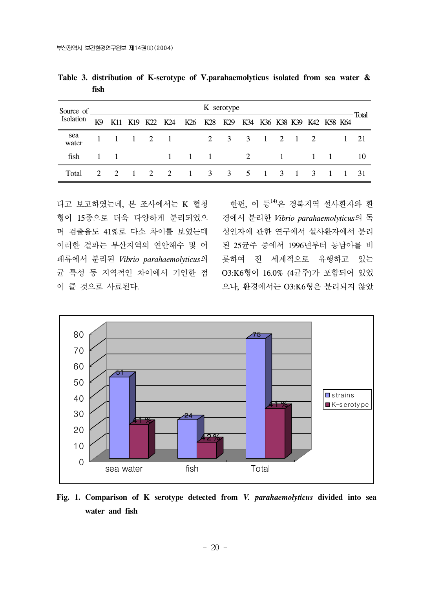| Source of<br>Isolation |                | K serotype |  |  |  |                                                         |  |  |  |  |  |             |  |          |       |
|------------------------|----------------|------------|--|--|--|---------------------------------------------------------|--|--|--|--|--|-------------|--|----------|-------|
|                        | K <sub>9</sub> |            |  |  |  | K11 K19 K22 K24 K26 K28 K29 K34 K36 K38 K39 K42 K58 K64 |  |  |  |  |  |             |  |          | Total |
| sea<br>water           |                |            |  |  |  | 1 1 1 2 1 2 3 3 1 2 1 2                                 |  |  |  |  |  |             |  | $1 \t21$ |       |
| fish                   | $\mathbf{1}$   | $\sim$ 1   |  |  |  | $1 \quad 1 \quad 1 \quad 2$                             |  |  |  |  |  | $1 \quad 1$ |  |          | 10    |
| Total                  |                |            |  |  |  | 2 2 1 3 3 5 1 3 1 3                                     |  |  |  |  |  |             |  |          | - 31  |

**Table 3. distribution of K-serotype of V.parahaemolyticus isolated from sea water & fish** 

다고 보고하였는데, 본 조사에서는 K 혈청 형이 15종으로 더욱 다양하게 분리되었으 경에서 분리한 *Vibrio parahaemolyticus*의 독 며 검출율도 41%로 다소 차이를 보였는데 이러한 결과는 부산지역의 연안해수 및 어 패류에서 분리된 *Vibrio parahaemolyticus*의 롯하여 전 세계적으로 유행하고 있는 균 특성 등 지역적인 차이에서 기인한 점 O3:K6형이 16.0% (4균주)가 포함되어 있었 이 클 것으로 사료된다.

한편, 이 등<sup>14)</sup>은 경북지역 설사환자와 환 성인자에 관한 연구에서 설사환자에서 분리 된 25균주 중에서 1996년부터 동남아를 비 으나, 환경에서는 O3:K6형은 분리되지 않았



**Fig. 1. Comparison of K serotype detected from** *V. parahaemolyticus* **divided into sea water and fish**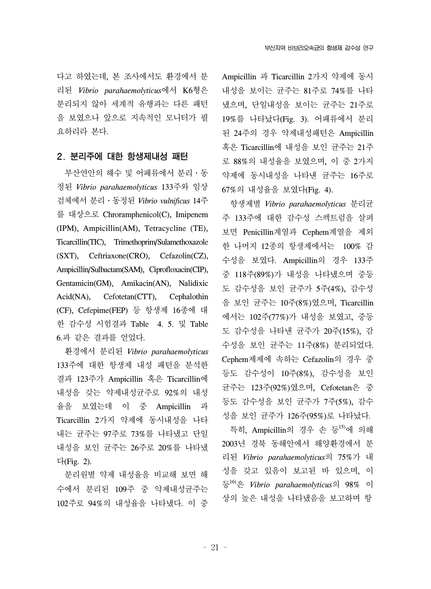다고 하였는데, 본 조사에서도 환경에서 분 리된 *Vibrio parahaemolyticus*에서 K6형은 분리되지 않아 세계적 유행과는 다른 패턴 을 보였으나 앞으로 지속적인 모니터가 필 요하리라 본다.

#### 2. 분리주에 대한 항생제내성 패턴

 부산연안의 해수 및 어패류에서 분리․동 정된 *Vibrio parahaemolyticus* 133주와 임상 검체에서 분리․동정된 *Vibrio vulnificus* 14주 를 대상으로 Chroramphenicol(C), Imipenem (IPM), Ampicillin(AM), Tetracycline (TE), Ticarcillin(TIC), Trimethoprim/Sulamethoxazole (SXT), Ceftriaxone(CRO), Cefazolin(CZ), Ampicillin/Sulbactam(SAM), Ciprofloxacin(CIP), Gentamicin(GM), Amikacin(AN), Nalidixic Acid(NA), Cefotetan(CTT), Cephalothin (CF), Cefepime(FEP) 등 항생제 16종에 대 한 감수성 시험결과 Table 4. 5. 및 Table 6.과 같은 결과를 얻었다.

 환경에서 분리된 *Vibrio parahaemolyticus* 133주에 대한 항생제 내성 패턴을 분석한 결과 123주가 Ampicillin 혹은 Ticarcillin에 내성을 갖는 약제내성균주로 92%의 내성 율을 보였는데 이 중 Ampicillin 과 Ticarcillin 2가지 약제에 동시내성을 나타 내는 균주는 97주로 73%를 나타냈고 단일 내성을 보인 균주는 26주로 20%를 나타냈 다(Fig. 2).

 분리원별 약제 내성율을 비교해 보면 해 수에서 분리된 109주 중 약제내성균주는 102주로 94%의 내성율을 나타냈다. 이 중 Ampicillin 과 Ticarcillin 2가지 약제에 동시 내성을 보이는 균주는 81주로 74%를 나타 냈으며, 단일내성을 보이는 균주는 21주로 19%를 나타났다(Fig. 3). 어패류에서 분리 된 24주의 경우 약제내성패턴은 Ampicillin 혹은 Ticarcillin에 내성을 보인 균주는 21주 로 88%의 내성율을 보였으며, 이 중 2가지 약제에 동시내성을 나타낸 균주는 16주로 67%의 내성율을 보였다(Fig. 4).

 항생제별 *Vibrio parahaemolyticus* 분리균 주 133주에 대한 감수성 스펙트럼을 살펴 보면 Penicillin계열과 Cephem계열을 제외 한 나머지 12종의 항생제에서는 100% 감 수성을 보였다. Ampicillin의 경우 133주 중 118주(89%)가 내성을 나타냈으며 중등 도 감수성을 보인 균주가 5주(4%), 감수성 을 보인 균주는 10주(8%)였으며, Ticarcillin 에서는 102주(77%)가 내성을 보였고, 중등 도 감수성을 나타낸 균주가 20주(15%), 감 수성을 보인 균주는 11주(8%) 분리되었다. Cephem제제에 속하는 Cefazolin의 경우 중 등도 감수성이 10주(8%), 감수성을 보인 균주는 123주(92%)였으며, Cefotetan은 중 등도 감수성을 보인 균주가 7주(5%), 감수 성을 보인 균주가 126주(95%)로 나타났다.

 특히, Ampicillin의 경우 손 등15)에 의해 2003년 경북 동해안에서 해양환경에서 분 리된 *Vibrio parahaemolyticus*의 75%가 내 성을 갖고 있음이 보고된 바 있으며, 이 등16)은 *Vibrio parahaemolyticus*의 98% 이 상의 높은 내성을 나타냈음을 보고하며 항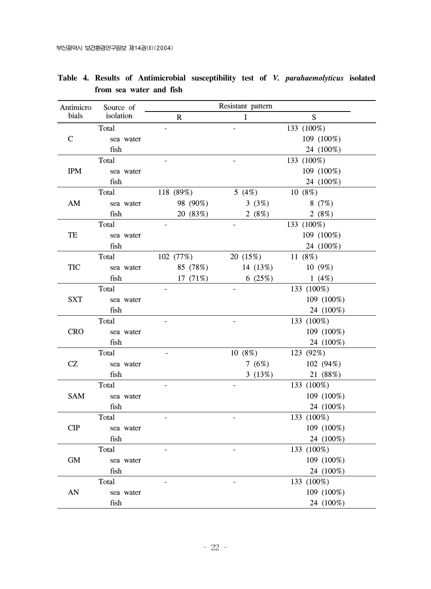| Antimicro              | Source of |                | Resistant pattern        |            |
|------------------------|-----------|----------------|--------------------------|------------|
| bials                  | isolation | $\mathbf R$    | L                        | S.         |
|                        | Total     |                |                          | 133 (100%) |
| $\mathbf C$            | sea water |                |                          | 109 (100%) |
|                        | fish      |                |                          | 24 (100%)  |
|                        | Total     |                |                          | 133 (100%) |
| <b>IPM</b>             | sea water |                |                          | 109 (100%) |
|                        | fish      |                |                          | 24 (100%)  |
|                        | Total     | 118 (89%)      | 5 $(4%)$                 | 10(8%)     |
| $\mathbf{A}\mathbf{M}$ | sea water | 98 (90%)       | 3(3%)                    | 8(7%)      |
|                        | fish      | 20 (83%)       | 2 $(8\%)$                | 2 $(8%)$   |
|                        | Total     |                |                          | 133 (100%) |
| TE                     | sea water |                |                          | 109 (100%) |
|                        | fish      |                |                          | 24 (100%)  |
|                        | Total     | 102(77%)       | 20(15%)                  | 11 (8%)    |
| <b>TIC</b>             | sea water | 85 (78%)       | 14 (13%)                 | $10(9\%)$  |
|                        | fish      | 17 $(71%)$     | 6 (25%)                  | 1(4%)      |
|                        | Total     | $\frac{1}{2}$  | $\equiv$                 | 133 (100%) |
| <b>SXT</b>             | sea water |                |                          | 109 (100%) |
|                        | fish      |                |                          | 24 (100%)  |
|                        | Total     | $\overline{a}$ | $\overline{\phantom{a}}$ | 133 (100%) |
| <b>CRO</b>             | sea water |                |                          | 109 (100%) |
|                        | fish      |                |                          | 24 (100%)  |
|                        | Total     |                | 10(8%)                   | 123 (92%)  |
| CZ                     | sea water |                | 7 $(6%)$                 | 102 (94%)  |
|                        | fish      |                | 3(13%)                   | 21 (88%)   |
|                        | Total     | $\overline{a}$ |                          | 133 (100%) |
| SAM                    | sea water |                |                          | 109 (100%) |
|                        | fish      |                |                          | 24 (100%)  |
|                        | Total     |                |                          | 133 (100%) |
| CIP                    | sea water |                |                          | 109 (100%) |
|                        | fish      |                |                          | 24 (100%)  |
|                        | Total     |                |                          | 133 (100%) |
| GM                     | sea water |                |                          | 109 (100%) |
|                        | fish      |                |                          | 24 (100%)  |
|                        | Total     |                |                          | 133 (100%) |
| AN                     | sea water |                |                          | 109 (100%) |
|                        | fish      |                |                          | 24 (100%)  |

**Table 4. Results of Antimicrobial susceptibility test of** *V. parahaemolyticus* **isolated from sea water and fish**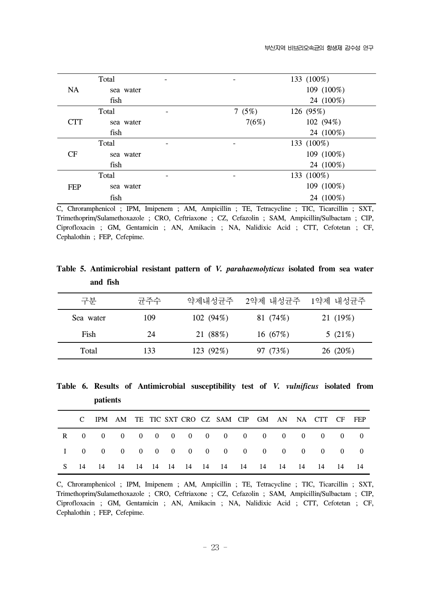| Total     |                          | 133 (100%) |
|-----------|--------------------------|------------|
| sea water |                          | 109 (100%) |
| fish      |                          | 24 (100%)  |
| Total     | 7 $(5%)$                 | 126 (95%)  |
| sea water | 7(6%)                    | 102 (94%)  |
| fish      |                          | 24 (100%)  |
| Total     | $\overline{\phantom{a}}$ | 133 (100%) |
| sea water |                          | 109 (100%) |
| fish      |                          | 24 (100%)  |
| Total     | -                        | 133 (100%) |
| sea water |                          | 109 (100%) |
| fish      |                          | 24 (100%)  |
|           |                          |            |

C, Chroramphenicol ; IPM, Imipenem ; AM, Ampicillin ; TE, Tetracycline ; TIC, Ticarcillin ; SXT, Trimethoprim/Sulamethoxazole ; CRO, Ceftriaxone ; CZ, Cefazolin ; SAM, Ampicillin/Sulbactam ; CIP, Ciprofloxacin ; GM, Gentamicin ; AN, Amikacin ; NA, Nalidixic Acid ; CTT, Cefotetan ; CF, Cephalothin ; FEP, Cefepime.

**Table 5. Antimicrobial resistant pattern of** *V. parahaemolyticus* **isolated from sea water and fish** 

| 구부        | 균주수 | 약제내성균주    | 2약제 내성균주   | 1약제 내성균주  |
|-----------|-----|-----------|------------|-----------|
| Sea water | 109 | 102(94%)  | 81 (74%)   | 21 (19%)  |
| Fish      | 24  | 21 (88%)  | 16 $(67%)$ | 5 $(21%)$ |
| Total     | 133 | 123 (92%) | 97 (73%)   | 26 (20%)  |

**Table 6. Results of Antimicrobial susceptibility test of** *V. vulnificus* **isolated from patients**

|      |  |  |  | C IPM AM TE TIC SXT CRO CZ SAM CIP GM AN NA CTT CF FEP |  |  |  |  |
|------|--|--|--|--------------------------------------------------------|--|--|--|--|
|      |  |  |  | R 0 0 0 0 0 0 0 0 0 0 0 0 0 0 0 0                      |  |  |  |  |
|      |  |  |  | I 0 0 0 0 0 0 0 0 0 0 0 0 0 0 0 0 0                    |  |  |  |  |
| - 14 |  |  |  |                                                        |  |  |  |  |

C, Chroramphenicol ; IPM, Imipenem ; AM, Ampicillin ; TE, Tetracycline ; TIC, Ticarcillin ; SXT, Trimethoprim/Sulamethoxazole ; CRO, Ceftriaxone ; CZ, Cefazolin ; SAM, Ampicillin/Sulbactam ; CIP, Ciprofloxacin ; GM, Gentamicin ; AN, Amikacin ; NA, Nalidixic Acid ; CTT, Cefotetan ; CF, Cephalothin ; FEP, Cefepime.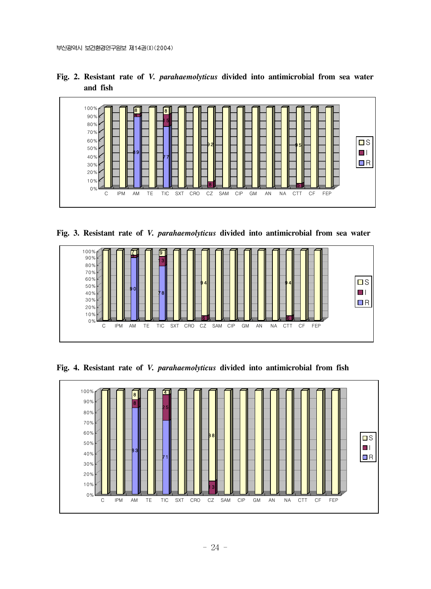

**Fig. 2. Resistant rate of** *V. parahaemolyticus* **divided into antimicrobial from sea water and fish**

**Fig. 3. Resistant rate of** *V. parahaemolyticus* **divided into antimicrobial from sea water**



**Fig. 4. Resistant rate of** *V. parahaemolyticus* **divided into antimicrobial from fish**

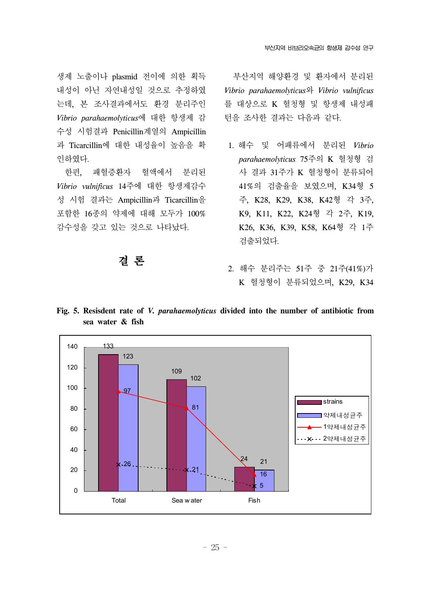생제 노출이나 plasmid 전이에 의한 획득 내성이 아닌 자연내성일 것으로 추정하였 는데, 본 조사결과에서도 환경 분리주인 *Vibrio parahaemolyticus*에 대한 항생제 감 수성 시험결과 Penicillin계열의 Ampicillin 과 Ticarcillin에 대한 내성율이 높음을 확 인하였다.

 한편, 패혈증환자 혈액에서 분리된 *Vibrio vulnificus* 14주에 대한 항생제감수 성 시험 결과는 Ampicillin과 Ticarcillin을 포함한 16종의 약제에 대해 모두가 100% 감수성을 갖고 있는 것으로 나타났다.

### 결 론

 부산지역 해양환경 및 환자에서 분리된 *Vibrio parahaemolyticus*와 *Vibrio vulnificus* 를 대상으로 K 혈청형 및 항생제 내성패 턴을 조사한 결과는 다음과 같다.

- 1. 해수 및 어패류에서 분리된 *Vibrio parahaemolyticus* 75주의 K 혈청형 검 사 결과 31주가 K 혈청형이 분류되어 41%의 검출율을 보였으며, K34형 5 주, K28, K29, K38, K42형 각 3주, K9, K11, K22, K24형 각 2주, K19, K26, K36, K39, K58, K64형 각 1주 검출되었다.
- 2. 해수 분리주는 51주 중 21주(41%)가 K 혈청형이 분류되었으며, K29, K34



**Fig. 5. Resisdent rate of** *V. parahaemolyticus* **divided into the number of antibiotic from sea water & fish**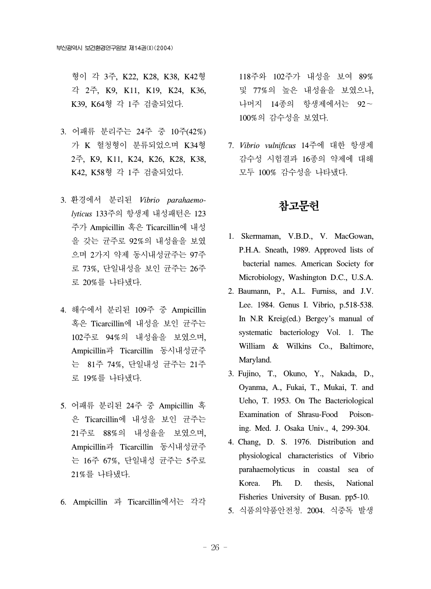형이 각 3주, K22, K28, K38, K42형 각 2주, K9, K11, K19, K24, K36, K39, K64형 각 1주 검출되었다.

- 3. 어패류 분리주는 24주 중 10주(42%) 가 K 혈청형이 분류되었으며 K34형 2주, K9, K11, K24, K26, K28, K38, K42, K58형 각 1주 검출되었다.
- 3. 환경에서 분리된 *Vibrio parahaemolyticus* 133주의 항생제 내성패턴은 123 주가 Ampicillin 혹은 Ticarcillin에 내성 을 갖는 균주로 92%의 내성율을 보였 으며 2가지 약제 동시내성균주는 97주 로 73%, 단일내성을 보인 균주는 26주 로 20%를 나타냈다.
- 4. 해수에서 분리된 109주 중 Ampicillin 혹은 Ticarcillin에 내성을 보인 균주는 102주로 94%의 내성율을 보였으며, Ampicillin과 Ticarcillin 동시내성균주 는 81주 74%, 단일내성 균주는 21주 로 19%를 나타냈다.
- 5. 어패류 분리된 24주 중 Ampicillin 혹 은 Ticarcillin에 내성을 보인 균주는 21주로 88%의 내성율을 보였으며, Ampicillin과 Ticarcillin 동시내성균주 는 16주 67%, 단일내성 균주는 5주로 21%를 나타냈다.
- 6. Ampicillin 과 Ticarcillin에서는 각각

118주와 102주가 내성을 보여 89% 및 77%의 높은 내성율을 보였으나, 나머지 14종의 항생제에서는 92~ 100%의 감수성을 보였다.

 7. *Vibrio vulnificus* 14주에 대한 항생제 감수성 시험결과 16종의 약제에 대해 모두 100% 감수성을 나타냈다.

### 참고문헌

- 1. Skermaman, V.B.D., V. MacGowan, P.H.A. Sneath, 1989. Approved lists of bacterial names. American Society for Microbiology, Washington D.C., U.S.A.
- 2. Baumann, P., A.L. Furniss, and J.V. Lee. 1984. Genus I. Vibrio, p.518-538. In N.R Kreig(ed.) Bergey's manual of systematic bacteriology Vol. 1. The William & Wilkins Co., Baltimore, Maryland.
- 3. Fujino, T., Okuno, Y., Nakada, D., Oyanma, A., Fukai, T., Mukai, T. and Ueho, T. 1953. On The Bacteriological Examination of Shrasu-Food Poisoning. Med. J. Osaka Univ., 4, 299-304.
- 4. Chang, D. S. 1976. Distribution and physiological characteristics of Vibrio parahaemolyticus in coastal sea of Korea. Ph. D. thesis, National Fisheries University of Busan. pp5-10.
- 5. 식품의약품안전청. 2004. 식중독 발생